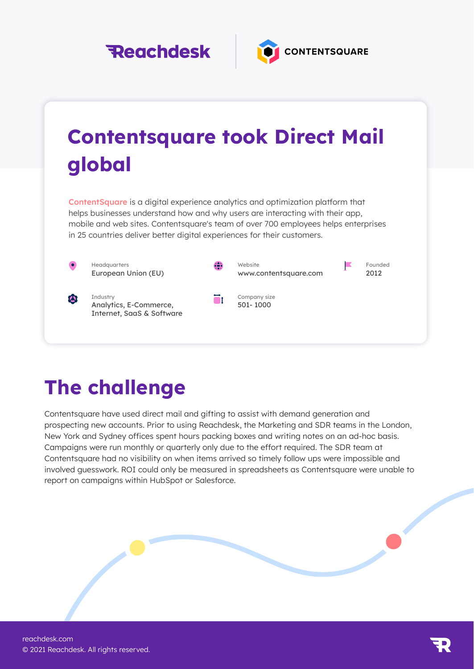



## Contentsquare took Direct Mail global

ContentSquare is a digital experience analytics and optimization platform that helps businesses understand how and why users are interacting with their app, mobile and web sites. Contentsquare's team of over 700 employees helps enterprises in 25 countries deliver better digital experiences for their customers.

ēt.



公

Headquarters European Union (EU)

**Industry** Analytics, E-Commerce, Internet, SaaS & Software



Company size 501- 1000

Founded 2012

F

The challenge

Contentsquare have used direct mail and gifting to assist with demand generation and prospecting new accounts. Prior to using Reachdesk, the Marketing and SDR teams in the London, New York and Sydney offices spent hours packing boxes and writing notes on an ad-hoc basis. Campaigns were run monthly or quarterly only due to the effort required. The SDR team at Contentsquare had no visibility on when items arrived so timely follow ups were impossible and involved guesswork. ROI could only be measured in spreadsheets as Contentsquare were unable to report on campaigns within HubSpot or Salesforce.